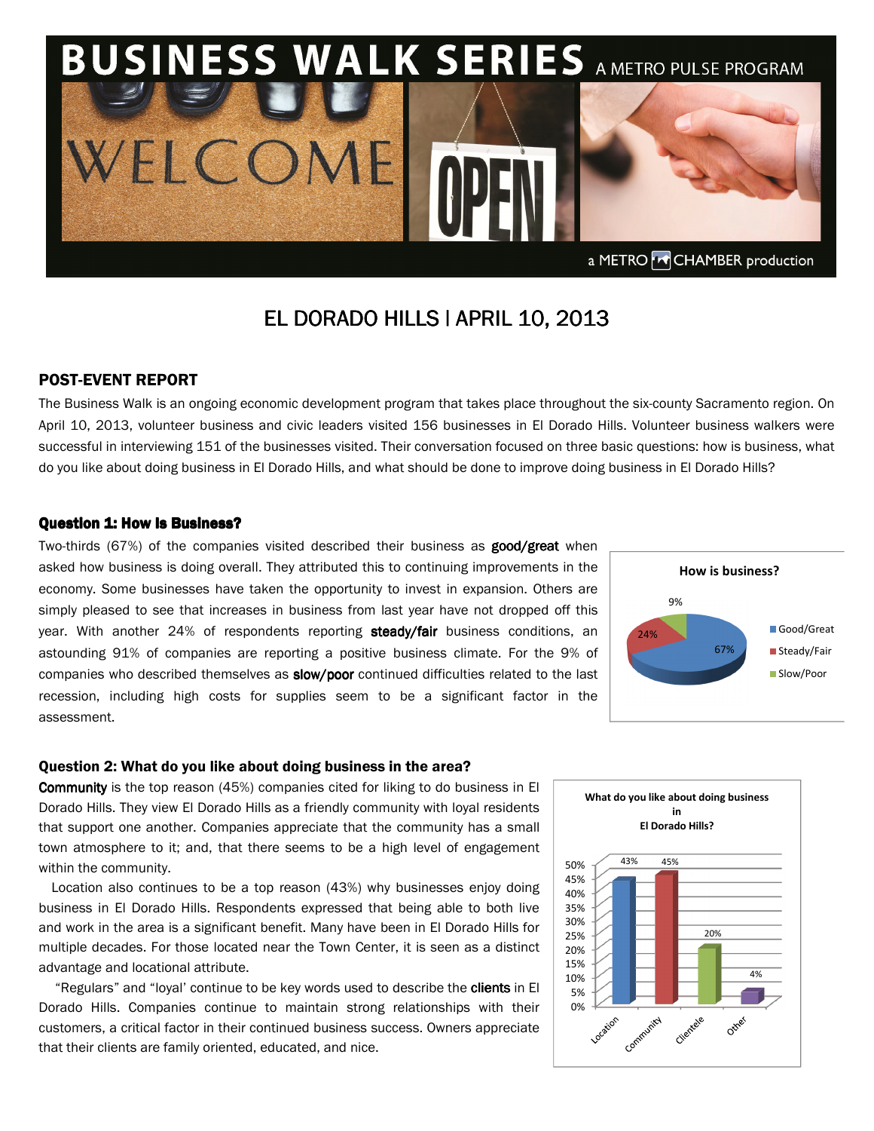

# **EL DORADO HILLS | APRIL 10, 2013**

## POST-EVENT REPORT

The Business Walk is an ongoing economic development program that takes place throughout the six-county Sacramento region. On April 10, 2013, volunteer business and civic leaders visited 156 businesses in El Dorado Hills. Volunteer business walkers were successful in interviewing 151 of the businesses visited. Their conversation focused on three basic questions: how is business, what do you like about doing business in El Dorado Hills, and what should be done to improve doing business in El Dorado Hills?

### Question 1: How Is Business?

Two-thirds (67%) of the companies visited described their business as **good/great** when asked how business is doing overall. They attributed this to continuing improvements in the economy. Some businesses have taken the opportunity to invest in expansion. Others are simply pleased to see that increases in business from last year have not dropped off this year. With another 24% of respondents reporting steady/fair business conditions, an astounding 91% of companies are reporting a positive business climate. For the 9% of companies who described themselves as **slow/poor** continued difficulties related to the last recession, including high costs for supplies seem to be a significant factor in the assessment.



#### Question 2: What do you like about doing business in the area?

**Community** is the top reason (45%) companies cited for liking to do business in El Dorado Hills. They view El Dorado Hills as a friendly community with loyal residents that support one another. Companies appreciate that the community has a small town atmosphere to it; and, that there seems to be a high level of engagement within the community.

Location also continues to be a top reason (43%) why businesses enjoy doing business in El Dorado Hills. Respondents expressed that being able to both live and work in the area is a significant benefit. Many have been in El Dorado Hills for multiple decades. For those located near the Town Center, it is seen as a distinct advantage and locational attribute.

"Regulars" and "loyal' continue to be key words used to describe the clients in El Dorado Hills. Companies continue to maintain strong relationships with their customers, a critical factor in their continued business success. Owners appreciate that their clients are family oriented, educated, and nice.